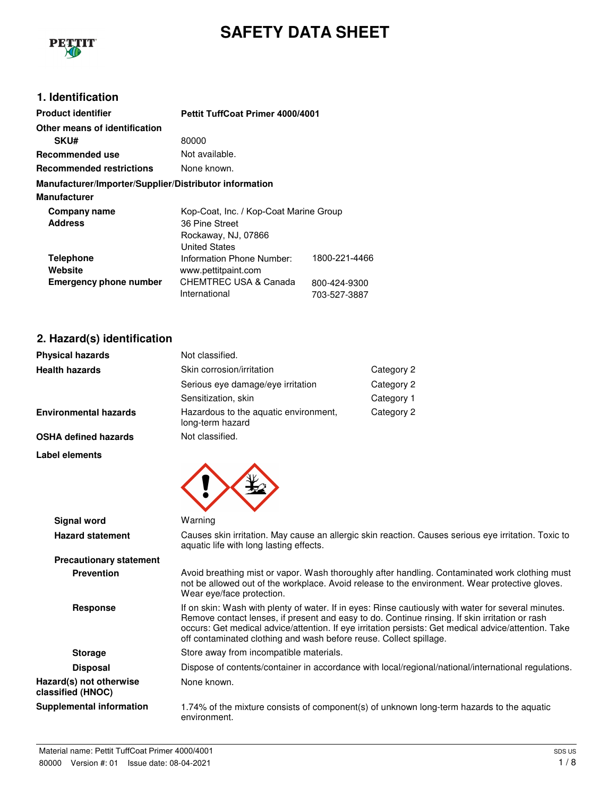

# **SAFETY DATA SHEET**

### **1. Identification**

| <b>Product identifier</b>                                    | <b>Pettit TuffCoat Primer 4000/4001</b>                                                                 |                                               |
|--------------------------------------------------------------|---------------------------------------------------------------------------------------------------------|-----------------------------------------------|
| Other means of identification                                |                                                                                                         |                                               |
| <b>SKU#</b>                                                  | 80000                                                                                                   |                                               |
| Recommended use                                              | Not available.                                                                                          |                                               |
| <b>Recommended restrictions</b>                              | None known.                                                                                             |                                               |
| Manufacturer/Importer/Supplier/Distributor information       |                                                                                                         |                                               |
| <b>Manufacturer</b>                                          |                                                                                                         |                                               |
| Company name<br><b>Address</b>                               | Kop-Coat, Inc. / Kop-Coat Marine Group<br>36 Pine Street<br>Rockaway, NJ, 07866<br><b>United States</b> |                                               |
| <b>Telephone</b><br>Website<br><b>Emergency phone number</b> | Information Phone Number:<br>www.pettitpaint.com<br>CHEMTREC USA & Canada<br>International              | 1800-221-4466<br>800-424-9300<br>703-527-3887 |

## **2. Hazard(s) identification**

| <b>Physical hazards</b> | Not classified.                                           |            |
|-------------------------|-----------------------------------------------------------|------------|
| <b>Health hazards</b>   | Skin corrosion/irritation                                 | Category 2 |
|                         | Serious eye damage/eye irritation                         | Category 2 |
|                         | Sensitization, skin                                       | Category 1 |
| Environmental hazards   | Hazardous to the aquatic environment,<br>long-term hazard | Category 2 |
| OSHA defined hazards    | Not classified.                                           |            |

**Label elements**



| Signal word                                  | Warning                                                                                                                                                                                                                                                                                                                                                                             |
|----------------------------------------------|-------------------------------------------------------------------------------------------------------------------------------------------------------------------------------------------------------------------------------------------------------------------------------------------------------------------------------------------------------------------------------------|
| <b>Hazard statement</b>                      | Causes skin irritation. May cause an allergic skin reaction. Causes serious eye irritation. Toxic to<br>aquatic life with long lasting effects.                                                                                                                                                                                                                                     |
| <b>Precautionary statement</b>               |                                                                                                                                                                                                                                                                                                                                                                                     |
| <b>Prevention</b>                            | Avoid breathing mist or vapor. Wash thoroughly after handling. Contaminated work clothing must<br>not be allowed out of the workplace. Avoid release to the environment. Wear protective gloves.<br>Wear eye/face protection.                                                                                                                                                       |
| Response                                     | If on skin: Wash with plenty of water. If in eyes: Rinse cautiously with water for several minutes.<br>Remove contact lenses, if present and easy to do. Continue rinsing. If skin irritation or rash<br>occurs: Get medical advice/attention. If eye irritation persists: Get medical advice/attention. Take<br>off contaminated clothing and wash before reuse. Collect spillage. |
| <b>Storage</b>                               | Store away from incompatible materials.                                                                                                                                                                                                                                                                                                                                             |
| <b>Disposal</b>                              | Dispose of contents/container in accordance with local/regional/national/international regulations.                                                                                                                                                                                                                                                                                 |
| Hazard(s) not otherwise<br>classified (HNOC) | None known.                                                                                                                                                                                                                                                                                                                                                                         |
| <b>Supplemental information</b>              | 1.74% of the mixture consists of component(s) of unknown long-term hazards to the aquatic<br>environment.                                                                                                                                                                                                                                                                           |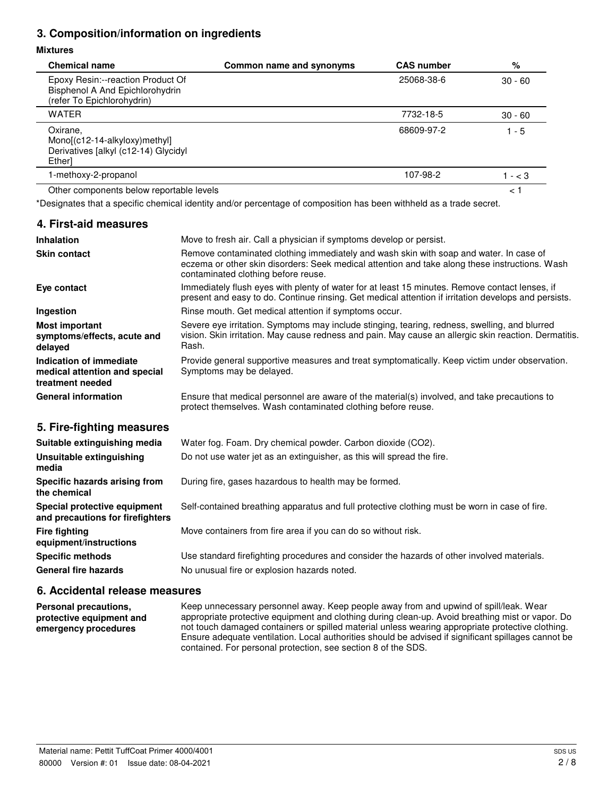### **3. Composition/information on ingredients**

#### **Mixtures**

| <b>Chemical name</b>                                                                               | Common name and synonyms | <b>CAS number</b> | %             |
|----------------------------------------------------------------------------------------------------|--------------------------|-------------------|---------------|
| Epoxy Resin:--reaction Product Of<br>Bisphenol A And Epichlorohydrin<br>(refer To Epichlorohydrin) |                          | 25068-38-6        | $30 - 60$     |
| <b>WATER</b>                                                                                       |                          | 7732-18-5         | $30 - 60$     |
| Oxirane,<br>Mono[(c12-14-alkyloxy)methyl]<br>Derivatives [alkyl (c12-14) Glycidyl<br>Ether]        |                          | 68609-97-2        | $1 - 5$       |
| 1-methoxy-2-propanol                                                                               |                          | 107-98-2          | $- < 3$       |
| Other components below reportable levels                                                           |                          |                   | $\lt$ $\cdot$ |

\*Designates that a specific chemical identity and/or percentage of composition has been withheld as a trade secret.

#### **4. First-aid measures Inhalation** Move to fresh air. Call a physician if symptoms develop or persist. **Skin contact** Remove contaminated clothing immediately and wash skin with soap and water. In case of eczema or other skin disorders: Seek medical attention and take along these instructions. Wash contaminated clothing before reuse. **Eye contact** Immediately flush eyes with plenty of water for at least 15 minutes. Remove contact lenses, if present and easy to do. Continue rinsing. Get medical attention if irritation develops and persists. **Ingestion** Rinse mouth. Get medical attention if symptoms occur. **Most important symptoms/effects, acute and delayed** Severe eye irritation. Symptoms may include stinging, tearing, redness, swelling, and blurred vision. Skin irritation. May cause redness and pain. May cause an allergic skin reaction. Dermatitis. Rash. **Indication of immediate medical attention and special treatment needed** Provide general supportive measures and treat symptomatically. Keep victim under observation. Symptoms may be delayed. General information **Ensure that medical personnel are aware of the material(s) involved, and take precautions to** protect themselves. Wash contaminated clothing before reuse. **5. Fire-fighting measures Suitable extinguishing media** Water fog. Foam. Dry chemical powder. Carbon dioxide (CO2).

| Unsuitable extinguishing<br>media                                | Do not use water jet as an extinguisher, as this will spread the fire.                        |
|------------------------------------------------------------------|-----------------------------------------------------------------------------------------------|
| Specific hazards arising from<br>the chemical                    | During fire, gases hazardous to health may be formed.                                         |
| Special protective equipment<br>and precautions for firefighters | Self-contained breathing apparatus and full protective clothing must be worn in case of fire. |
| <b>Fire fighting</b><br>equipment/instructions                   | Move containers from fire area if you can do so without risk.                                 |
| <b>Specific methods</b>                                          | Use standard firefighting procedures and consider the hazards of other involved materials.    |
| <b>General fire hazards</b>                                      | No unusual fire or explosion hazards noted.                                                   |

### **6. Accidental release measures**

**Personal precautions, protective equipment and emergency procedures** Keep unnecessary personnel away. Keep people away from and upwind of spill/leak. Wear appropriate protective equipment and clothing during clean-up. Avoid breathing mist or vapor. Do not touch damaged containers or spilled material unless wearing appropriate protective clothing. Ensure adequate ventilation. Local authorities should be advised if significant spillages cannot be contained. For personal protection, see section 8 of the SDS.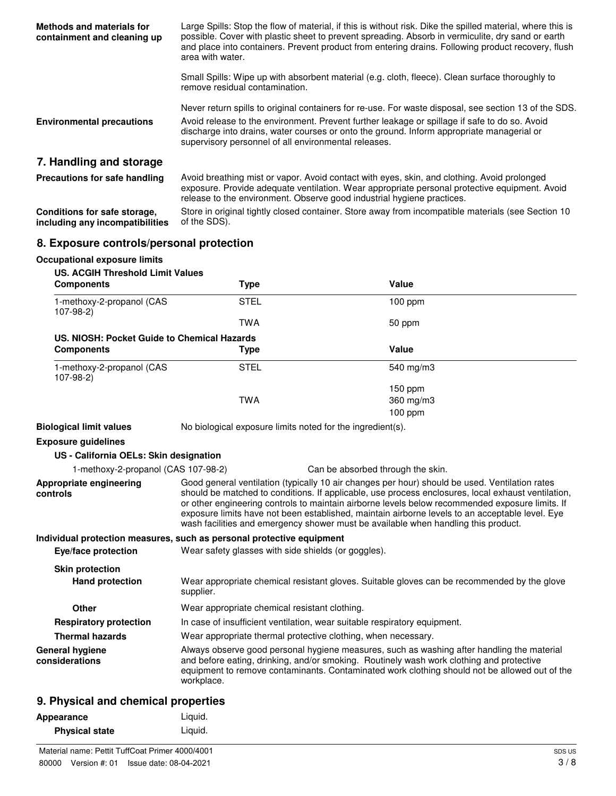| <b>Methods and materials for</b><br>containment and cleaning up | Large Spills: Stop the flow of material, if this is without risk. Dike the spilled material, where this is<br>possible. Cover with plastic sheet to prevent spreading. Absorb in vermiculite, dry sand or earth<br>and place into containers. Prevent product from entering drains. Following product recovery, flush<br>area with water.                   |
|-----------------------------------------------------------------|-------------------------------------------------------------------------------------------------------------------------------------------------------------------------------------------------------------------------------------------------------------------------------------------------------------------------------------------------------------|
|                                                                 | Small Spills: Wipe up with absorbent material (e.g. cloth, fleece). Clean surface thoroughly to<br>remove residual contamination.                                                                                                                                                                                                                           |
| <b>Environmental precautions</b>                                | Never return spills to original containers for re-use. For waste disposal, see section 13 of the SDS.<br>Avoid release to the environment. Prevent further leakage or spillage if safe to do so. Avoid<br>discharge into drains, water courses or onto the ground. Inform appropriate managerial or<br>supervisory personnel of all environmental releases. |
| 7. Handling and storage                                         |                                                                                                                                                                                                                                                                                                                                                             |
| <b>Precautions for safe handling</b>                            | Avoid breathing mist or vapor. Avoid contact with eyes, skin, and clothing. Avoid prolonged<br>exposure. Provide adequate ventilation. Wear appropriate personal protective equipment. Avoid<br>release to the environment. Observe good industrial hygiene practices.                                                                                      |
| Conditions for safe storage,<br>including any incompatibilities | Store in original tightly closed container. Store away from incompatible materials (see Section 10<br>of the SDS).                                                                                                                                                                                                                                          |

### **8. Exposure controls/personal protection**

**Occupational exposure limits**

| <b>US. ACGIH Threshold Limit Values</b><br><b>Components</b> | <b>Type</b>                                                                                                                                                                                                                                                                                                                                                                                                                                                                                      | Value                                                                                                                                                                                                                                                                                   |
|--------------------------------------------------------------|--------------------------------------------------------------------------------------------------------------------------------------------------------------------------------------------------------------------------------------------------------------------------------------------------------------------------------------------------------------------------------------------------------------------------------------------------------------------------------------------------|-----------------------------------------------------------------------------------------------------------------------------------------------------------------------------------------------------------------------------------------------------------------------------------------|
| 1-methoxy-2-propanol (CAS<br>$107-98-2)$                     | <b>STEL</b>                                                                                                                                                                                                                                                                                                                                                                                                                                                                                      | 100 ppm                                                                                                                                                                                                                                                                                 |
|                                                              | <b>TWA</b>                                                                                                                                                                                                                                                                                                                                                                                                                                                                                       | 50 ppm                                                                                                                                                                                                                                                                                  |
| US. NIOSH: Pocket Guide to Chemical Hazards                  |                                                                                                                                                                                                                                                                                                                                                                                                                                                                                                  |                                                                                                                                                                                                                                                                                         |
| <b>Components</b>                                            | <b>Type</b>                                                                                                                                                                                                                                                                                                                                                                                                                                                                                      | Value                                                                                                                                                                                                                                                                                   |
| 1-methoxy-2-propanol (CAS<br>107-98-2)                       | <b>STEL</b>                                                                                                                                                                                                                                                                                                                                                                                                                                                                                      | 540 mg/m3                                                                                                                                                                                                                                                                               |
|                                                              |                                                                                                                                                                                                                                                                                                                                                                                                                                                                                                  | 150 ppm                                                                                                                                                                                                                                                                                 |
|                                                              | <b>TWA</b>                                                                                                                                                                                                                                                                                                                                                                                                                                                                                       | 360 mg/m3                                                                                                                                                                                                                                                                               |
|                                                              |                                                                                                                                                                                                                                                                                                                                                                                                                                                                                                  | $100$ ppm                                                                                                                                                                                                                                                                               |
| <b>Biological limit values</b>                               | No biological exposure limits noted for the ingredient(s).                                                                                                                                                                                                                                                                                                                                                                                                                                       |                                                                                                                                                                                                                                                                                         |
| <b>Exposure guidelines</b>                                   |                                                                                                                                                                                                                                                                                                                                                                                                                                                                                                  |                                                                                                                                                                                                                                                                                         |
| US - California OELs: Skin designation                       |                                                                                                                                                                                                                                                                                                                                                                                                                                                                                                  |                                                                                                                                                                                                                                                                                         |
| 1-methoxy-2-propanol (CAS 107-98-2)                          |                                                                                                                                                                                                                                                                                                                                                                                                                                                                                                  | Can be absorbed through the skin.                                                                                                                                                                                                                                                       |
| Appropriate engineering<br>controls                          | Good general ventilation (typically 10 air changes per hour) should be used. Ventilation rates<br>should be matched to conditions. If applicable, use process enclosures, local exhaust ventilation,<br>or other engineering controls to maintain airborne levels below recommended exposure limits. If<br>exposure limits have not been established, maintain airborne levels to an acceptable level. Eye<br>wash facilities and emergency shower must be available when handling this product. |                                                                                                                                                                                                                                                                                         |
|                                                              | Individual protection measures, such as personal protective equipment                                                                                                                                                                                                                                                                                                                                                                                                                            |                                                                                                                                                                                                                                                                                         |
| Eye/face protection                                          | Wear safety glasses with side shields (or goggles).                                                                                                                                                                                                                                                                                                                                                                                                                                              |                                                                                                                                                                                                                                                                                         |
| <b>Skin protection</b>                                       |                                                                                                                                                                                                                                                                                                                                                                                                                                                                                                  |                                                                                                                                                                                                                                                                                         |
| <b>Hand protection</b>                                       | supplier.                                                                                                                                                                                                                                                                                                                                                                                                                                                                                        | Wear appropriate chemical resistant gloves. Suitable gloves can be recommended by the glove                                                                                                                                                                                             |
| Other                                                        | Wear appropriate chemical resistant clothing.                                                                                                                                                                                                                                                                                                                                                                                                                                                    |                                                                                                                                                                                                                                                                                         |
| <b>Respiratory protection</b>                                | In case of insufficient ventilation, wear suitable respiratory equipment.                                                                                                                                                                                                                                                                                                                                                                                                                        |                                                                                                                                                                                                                                                                                         |
| <b>Thermal hazards</b>                                       | Wear appropriate thermal protective clothing, when necessary.                                                                                                                                                                                                                                                                                                                                                                                                                                    |                                                                                                                                                                                                                                                                                         |
| <b>General hygiene</b><br>considerations                     | workplace.                                                                                                                                                                                                                                                                                                                                                                                                                                                                                       | Always observe good personal hygiene measures, such as washing after handling the material<br>and before eating, drinking, and/or smoking. Routinely wash work clothing and protective<br>equipment to remove contaminants. Contaminated work clothing should not be allowed out of the |
| <b>Q.</b> Dhysical and chamical proportipe                   |                                                                                                                                                                                                                                                                                                                                                                                                                                                                                                  |                                                                                                                                                                                                                                                                                         |

### **9. Physical and chemical properties**

| Appearance            | Liguid. |
|-----------------------|---------|
| <b>Physical state</b> | Liquid. |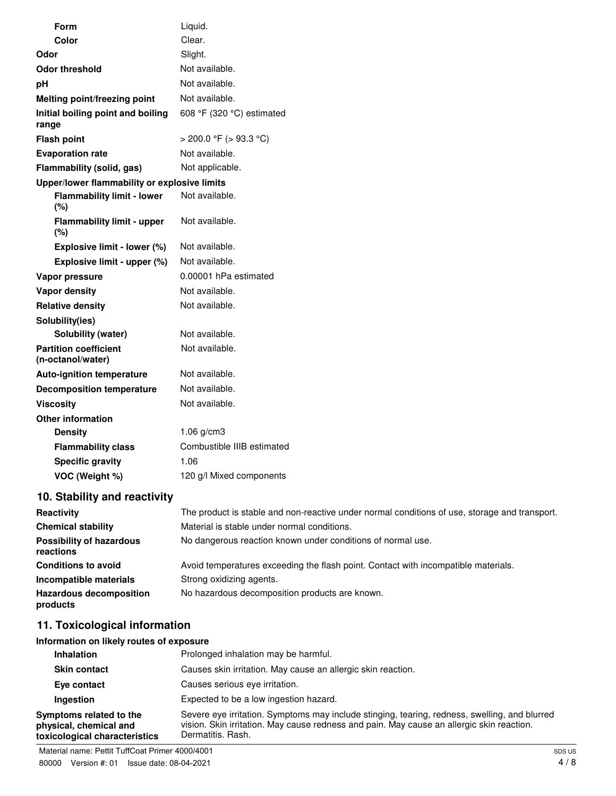|       | Form                                              | Liquid.                     |
|-------|---------------------------------------------------|-----------------------------|
|       | Color                                             | Clear.                      |
| Odor  |                                                   | Slight.                     |
|       | <b>Odor threshold</b>                             | Not available.              |
| pH    |                                                   | Not available.              |
|       | Melting point/freezing point                      | Not available.              |
| range | Initial boiling point and boiling                 | 608 °F (320 °C) estimated   |
|       | <b>Flash point</b>                                | $>$ 200.0 °F ( $>$ 93.3 °C) |
|       | <b>Evaporation rate</b>                           | Not available.              |
|       | Flammability (solid, gas)                         | Not applicable.             |
|       | Upper/lower flammability or explosive limits      |                             |
|       | <b>Flammability limit - lower</b><br>(%)          | Not available.              |
|       | <b>Flammability limit - upper</b><br>(%)          | Not available.              |
|       | Explosive limit - lower (%)                       | Not available.              |
|       | Explosive limit - upper (%)                       | Not available.              |
|       | Vapor pressure                                    | 0.00001 hPa estimated       |
|       | Vapor density                                     | Not available.              |
|       | <b>Relative density</b>                           | Not available.              |
|       | Solubility(ies)                                   |                             |
|       | Solubility (water)                                | Not available.              |
|       | <b>Partition coefficient</b><br>(n-octanol/water) | Not available.              |
|       | <b>Auto-ignition temperature</b>                  | Not available.              |
|       | <b>Decomposition temperature</b>                  | Not available.              |
|       | <b>Viscosity</b>                                  | Not available.              |
|       | <b>Other information</b>                          |                             |
|       | <b>Density</b>                                    | 1.06 g/cm3                  |
|       | <b>Flammability class</b>                         | Combustible IIIB estimated  |
|       | <b>Specific gravity</b>                           | 1.06                        |
|       | VOC (Weight %)                                    | 120 g/l Mixed components    |

### **10. Stability and reactivity**

| Reactivity                                   | The product is stable and non-reactive under normal conditions of use, storage and transport. |
|----------------------------------------------|-----------------------------------------------------------------------------------------------|
| <b>Chemical stability</b>                    | Material is stable under normal conditions.                                                   |
| <b>Possibility of hazardous</b><br>reactions | No dangerous reaction known under conditions of normal use.                                   |
| <b>Conditions to avoid</b>                   | Avoid temperatures exceeding the flash point. Contact with incompatible materials.            |
| Incompatible materials                       | Strong oxidizing agents.                                                                      |
| <b>Hazardous decomposition</b><br>products   | No hazardous decomposition products are known.                                                |

### **11. Toxicological information**

### **Information on likely routes of exposure**

| <b>Inhalation</b>                                                                  | Prolonged inhalation may be harmful.                                                                                                                                                                            |
|------------------------------------------------------------------------------------|-----------------------------------------------------------------------------------------------------------------------------------------------------------------------------------------------------------------|
| <b>Skin contact</b>                                                                | Causes skin irritation. May cause an allergic skin reaction.                                                                                                                                                    |
| Eye contact                                                                        | Causes serious eye irritation.                                                                                                                                                                                  |
| Ingestion                                                                          | Expected to be a low ingestion hazard.                                                                                                                                                                          |
| Symptoms related to the<br>physical, chemical and<br>toxicological characteristics | Severe eye irritation. Symptoms may include stinging, tearing, redness, swelling, and blurred<br>vision. Skin irritation. May cause redness and pain. May cause an allergic skin reaction.<br>Dermatitis, Rash. |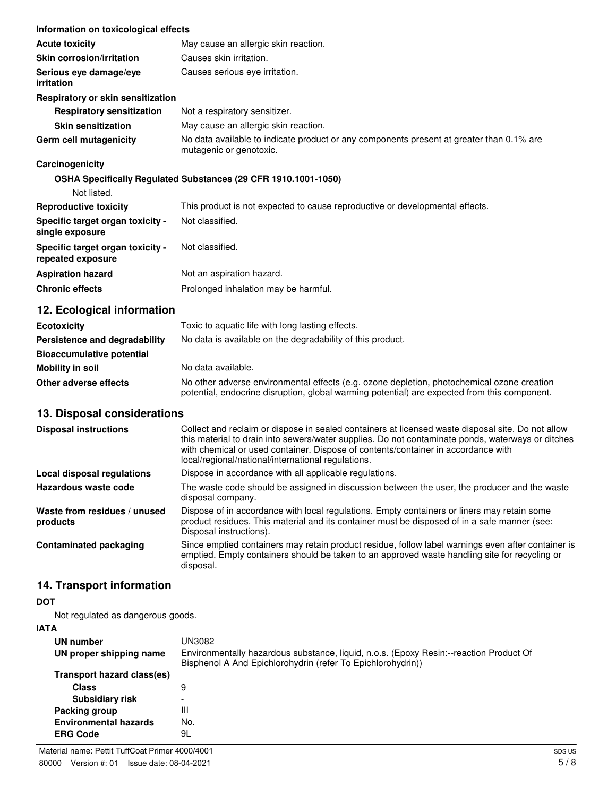| Information on toxicological effects                  |                                                                                                                                                                                                                                                                                                                                                   |
|-------------------------------------------------------|---------------------------------------------------------------------------------------------------------------------------------------------------------------------------------------------------------------------------------------------------------------------------------------------------------------------------------------------------|
| <b>Acute toxicity</b>                                 | May cause an allergic skin reaction.                                                                                                                                                                                                                                                                                                              |
| <b>Skin corrosion/irritation</b>                      | Causes skin irritation.                                                                                                                                                                                                                                                                                                                           |
| Serious eye damage/eye<br>irritation                  | Causes serious eye irritation.                                                                                                                                                                                                                                                                                                                    |
| Respiratory or skin sensitization                     |                                                                                                                                                                                                                                                                                                                                                   |
| <b>Respiratory sensitization</b>                      | Not a respiratory sensitizer.                                                                                                                                                                                                                                                                                                                     |
| <b>Skin sensitization</b>                             | May cause an allergic skin reaction.                                                                                                                                                                                                                                                                                                              |
| Germ cell mutagenicity                                | No data available to indicate product or any components present at greater than 0.1% are<br>mutagenic or genotoxic.                                                                                                                                                                                                                               |
| Carcinogenicity                                       |                                                                                                                                                                                                                                                                                                                                                   |
|                                                       | OSHA Specifically Regulated Substances (29 CFR 1910.1001-1050)                                                                                                                                                                                                                                                                                    |
| Not listed.                                           |                                                                                                                                                                                                                                                                                                                                                   |
| <b>Reproductive toxicity</b>                          | This product is not expected to cause reproductive or developmental effects.                                                                                                                                                                                                                                                                      |
| Specific target organ toxicity -<br>single exposure   | Not classified.                                                                                                                                                                                                                                                                                                                                   |
| Specific target organ toxicity -<br>repeated exposure | Not classified.                                                                                                                                                                                                                                                                                                                                   |
| <b>Aspiration hazard</b>                              | Not an aspiration hazard.                                                                                                                                                                                                                                                                                                                         |
| <b>Chronic effects</b>                                | Prolonged inhalation may be harmful.                                                                                                                                                                                                                                                                                                              |
| 12. Ecological information                            |                                                                                                                                                                                                                                                                                                                                                   |
| <b>Ecotoxicity</b>                                    | Toxic to aquatic life with long lasting effects.                                                                                                                                                                                                                                                                                                  |
| Persistence and degradability                         | No data is available on the degradability of this product.                                                                                                                                                                                                                                                                                        |
| <b>Bioaccumulative potential</b>                      |                                                                                                                                                                                                                                                                                                                                                   |
| <b>Mobility in soil</b>                               | No data available.                                                                                                                                                                                                                                                                                                                                |
| Other adverse effects                                 | No other adverse environmental effects (e.g. ozone depletion, photochemical ozone creation<br>potential, endocrine disruption, global warming potential) are expected from this component.                                                                                                                                                        |
| 13. Disposal considerations                           |                                                                                                                                                                                                                                                                                                                                                   |
| <b>Disposal instructions</b>                          | Collect and reclaim or dispose in sealed containers at licensed waste disposal site. Do not allow<br>this material to drain into sewers/water supplies. Do not contaminate ponds, waterways or ditches<br>with chemical or used container. Dispose of contents/container in accordance with<br>local/regional/national/international regulations. |
| <b>Local disposal regulations</b>                     | Dispose in accordance with all applicable regulations.                                                                                                                                                                                                                                                                                            |
| Hazardous waste code                                  | The waste code should be assigned in discussion between the user, the producer and the waste                                                                                                                                                                                                                                                      |

**Waste from residues / unused products** Dispose of in accordance with local regulations. Empty containers or liners may retain some product residues. This material and its container must be disposed of in a safe manner (see:

Disposal instructions). **Contaminated packaging** Since emptied containers may retain product residue, follow label warnings even after container is emptied. Empty containers should be taken to an approved waste handling site for recycling or disposal.

disposal company.

### **14. Transport information**

### **DOT**

Not regulated as dangerous goods.

### **IATA**

| UN number                    | UN3082                                                                                                                                                |
|------------------------------|-------------------------------------------------------------------------------------------------------------------------------------------------------|
| UN proper shipping name      | Environmentally hazardous substance, liquid, n.o.s. (Epoxy Resin:--reaction Product Of<br>Bisphenol A And Epichlorohydrin (refer To Epichlorohydrin)) |
| Transport hazard class(es)   |                                                                                                                                                       |
| <b>Class</b>                 | 9                                                                                                                                                     |
| <b>Subsidiary risk</b>       | $\overline{\phantom{a}}$                                                                                                                              |
| Packing group                | Ш                                                                                                                                                     |
| <b>Environmental hazards</b> | No.                                                                                                                                                   |
| <b>ERG Code</b>              | 9L                                                                                                                                                    |
|                              |                                                                                                                                                       |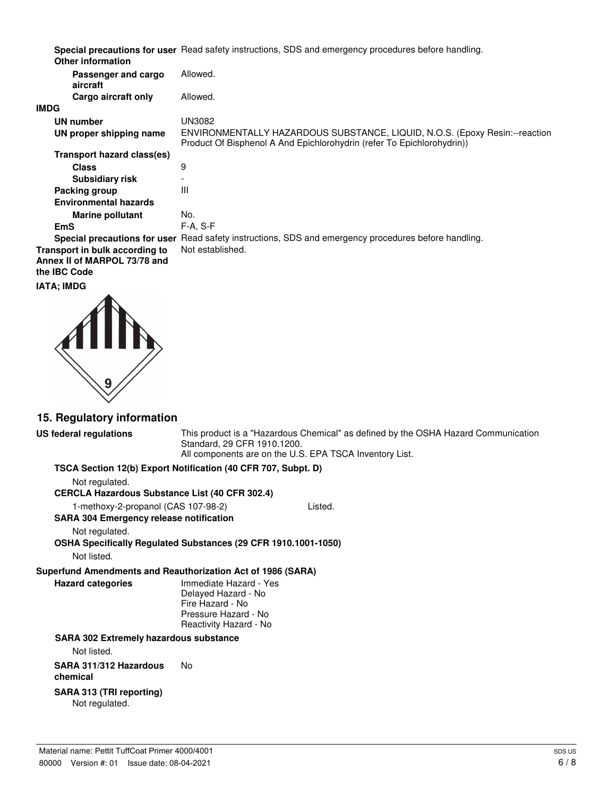| Special precautions for user Read safety instructions, SDS and emergency procedures before handling. |  |  |
|------------------------------------------------------------------------------------------------------|--|--|
|                                                                                                      |  |  |

| <b>Other information</b>                                                       |                                                                                                                                                       |
|--------------------------------------------------------------------------------|-------------------------------------------------------------------------------------------------------------------------------------------------------|
| Passenger and cargo<br>aircraft                                                | Allowed.                                                                                                                                              |
| Cargo aircraft only                                                            | Allowed.                                                                                                                                              |
| IMDG                                                                           |                                                                                                                                                       |
| UN number                                                                      | UN3082                                                                                                                                                |
| UN proper shipping name                                                        | ENVIRONMENTALLY HAZARDOUS SUBSTANCE, LIQUID, N.O.S. (Epoxy Resin:--reaction<br>Product Of Bisphenol A And Epichlorohydrin (refer To Epichlorohydrin)) |
| Transport hazard class(es)                                                     |                                                                                                                                                       |
| <b>Class</b>                                                                   | 9                                                                                                                                                     |
| <b>Subsidiary risk</b>                                                         |                                                                                                                                                       |
| Packing group                                                                  | Ш                                                                                                                                                     |
| <b>Environmental hazards</b>                                                   |                                                                                                                                                       |
| <b>Marine pollutant</b>                                                        | No.                                                                                                                                                   |
| <b>EmS</b>                                                                     | $F-A, S-F$                                                                                                                                            |
| Special precautions for user                                                   | Read safety instructions, SDS and emergency procedures before handling.                                                                               |
| Transport in bulk according to<br>Annex II of MARPOL 73/78 and<br>the IBC Code | Not established.                                                                                                                                      |
| IATA: IMDG                                                                     |                                                                                                                                                       |
|                                                                                |                                                                                                                                                       |



### **15. Regulatory information**

**US federal regulations** This product is a "Hazardous Chemical" as defined by the OSHA Hazard Communication Standard, 29 CFR 1910.1200. All components are on the U.S. EPA TSCA Inventory List.

| TSCA Section 12(b) Export Notification (40 CFR 707, Subpt. D) |  |  |
|---------------------------------------------------------------|--|--|
|---------------------------------------------------------------|--|--|

Not regulated.

**CERCLA Hazardous Substance List (40 CFR 302.4)**

1-methoxy-2-propanol (CAS 107-98-2) Listed.

**SARA 304 Emergency release notification**

Not regulated.

**OSHA Specifically Regulated Substances (29 CFR 1910.1001-1050)** Not listed.

#### **Superfund Amendments and Reauthorization Act of 1986 (SARA)**

| <b>Hazard categories</b> | Immediate Hazard - Yes |
|--------------------------|------------------------|
|                          | Delayed Hazard - No    |
|                          | Fire Hazard - No       |
|                          | Pressure Hazard - No   |
|                          | Reactivity Hazard - No |

#### **SARA 302 Extremely hazardous substance**

Not listed.

**SARA 311/312 Hazardous chemical** No

#### **SARA 313 (TRI reporting)**

Not regulated.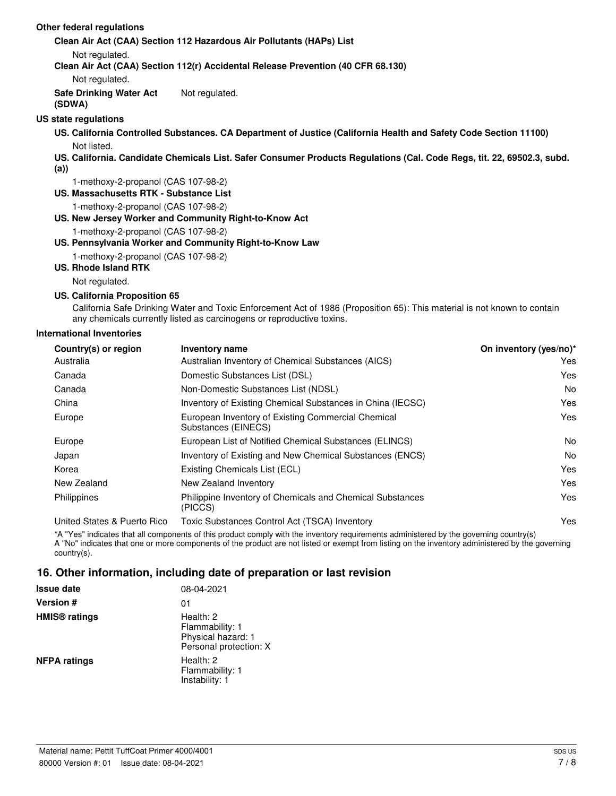#### **Other federal regulations**

**Clean Air Act (CAA) Section 112 Hazardous Air Pollutants (HAPs) List**

Not regulated.

**Clean Air Act (CAA) Section 112(r) Accidental Release Prevention (40 CFR 68.130)**

Not regulated.

**Safe Drinking Water Act (SDWA)** Not regulated.

#### **US state regulations**

**US. California Controlled Substances. CA Department of Justice (California Health and Safety Code Section 11100)** Not listed.

**US. California. Candidate Chemicals List. Safer Consumer Products Regulations (Cal. Code Regs, tit. 22, 69502.3, subd.**

**(a))**

1-methoxy-2-propanol (CAS 107-98-2)

**US. Massachusetts RTK - Substance List**

1-methoxy-2-propanol (CAS 107-98-2)

#### **US. New Jersey Worker and Community Right-to-Know Act**

1-methoxy-2-propanol (CAS 107-98-2)

#### **US. Pennsylvania Worker and Community Right-to-Know Law**

1-methoxy-2-propanol (CAS 107-98-2)

#### **US. Rhode Island RTK**

Not regulated.

#### **US. California Proposition 65**

California Safe Drinking Water and Toxic Enforcement Act of 1986 (Proposition 65): This material is not known to contain any chemicals currently listed as carcinogens or reproductive toxins.

#### **International Inventories**

| Country(s) or region        | <b>Inventory name</b>                                                     | On inventory (yes/no)* |
|-----------------------------|---------------------------------------------------------------------------|------------------------|
| Australia                   | Australian Inventory of Chemical Substances (AICS)                        | Yes                    |
| Canada                      | Domestic Substances List (DSL)                                            | Yes                    |
| Canada                      | Non-Domestic Substances List (NDSL)                                       | No                     |
| China                       | Inventory of Existing Chemical Substances in China (IECSC)                | Yes                    |
| Europe                      | European Inventory of Existing Commercial Chemical<br>Substances (EINECS) | Yes                    |
| Europe                      | European List of Notified Chemical Substances (ELINCS)                    | No                     |
| Japan                       | Inventory of Existing and New Chemical Substances (ENCS)                  | No                     |
| Korea                       | Existing Chemicals List (ECL)                                             | Yes                    |
| New Zealand                 | New Zealand Inventory                                                     | Yes                    |
| Philippines                 | Philippine Inventory of Chemicals and Chemical Substances<br>(PICCS)      | Yes                    |
| United States & Puerto Rico | Toxic Substances Control Act (TSCA) Inventory                             | Yes                    |

\*A "Yes" indicates that all components of this product comply with the inventory requirements administered by the governing country(s) A "No" indicates that one or more components of the product are not listed or exempt from listing on the inventory administered by the governing country(s).

### **16. Other information, including date of preparation or last revision**

| <b>Issue date</b>               | 08-04-2021                                                                   |
|---------------------------------|------------------------------------------------------------------------------|
| <b>Version #</b>                | 01                                                                           |
| <b>HMIS<sup>®</sup></b> ratings | Health: 2<br>Flammability: 1<br>Physical hazard: 1<br>Personal protection: X |
| <b>NFPA ratings</b>             | Health: 2<br>Flammability: 1<br>Instability: 1                               |